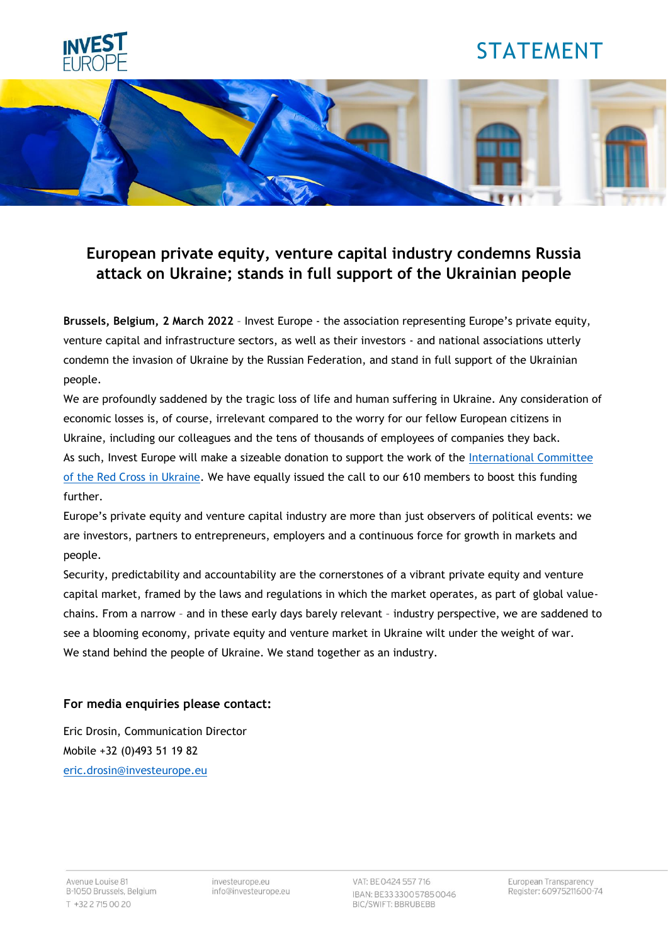

# STATEMENT



## **European private equity, venture capital industry condemns Russia attack on Ukraine; stands in full support of the Ukrainian people**

**Brussels, Belgium, 2 March 2022** – Invest Europe - the association representing Europe's private equity, venture capital and infrastructure sectors, as well as their investors - and national associations utterly condemn the invasion of Ukraine by the Russian Federation, and stand in full support of the Ukrainian people.

We are profoundly saddened by the tragic loss of life and human suffering in Ukraine. Any consideration of economic losses is, of course, irrelevant compared to the worry for our fellow European citizens in Ukraine, including our colleagues and the tens of thousands of employees of companies they back. As such, Invest Europe will make a sizeable donation to support the work of the International Committee [of the Red Cross in Ukraine.](https://www.icrc.org/en/where-we-work/europe-central-asia/ukraine) We have equally issued the call to our 610 members to boost this funding further.

Europe's private equity and venture capital industry are more than just observers of political events: we are investors, partners to entrepreneurs, employers and a continuous force for growth in markets and people.

Security, predictability and accountability are the cornerstones of a vibrant private equity and venture capital market, framed by the laws and regulations in which the market operates, as part of global valuechains. From a narrow – and in these early days barely relevant – industry perspective, we are saddened to see a blooming economy, private equity and venture market in Ukraine wilt under the weight of war. We stand behind the people of Ukraine. We stand together as an industry.

### **For media enquiries please contact:**

Eric Drosin, Communication Director Mobile +32 (0)493 51 19 82 [eric.drosin@investeurope.eu](mailto:eric.drosin@investeurope.eu)